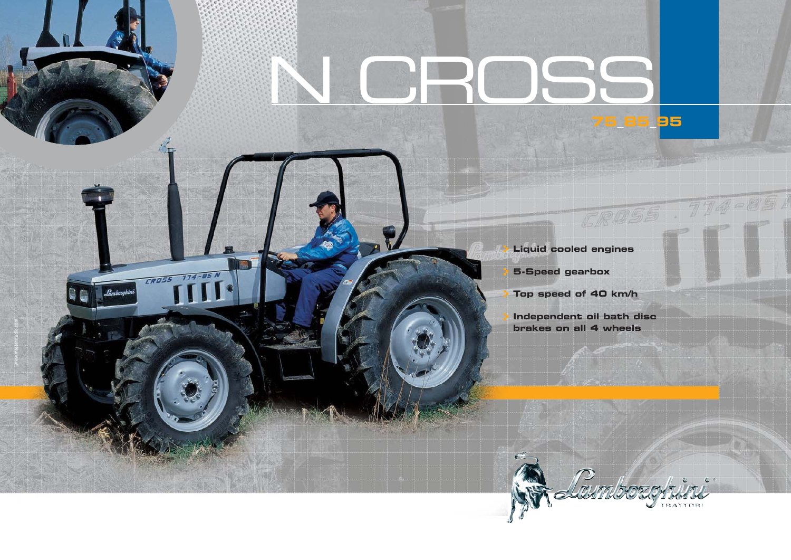## N CROSS**95**

www.masterstudio.com

CROSS 774-85 N

 **Liquid cooled engines**

 **5-Speed gearbox**

 **Top speed of 40 km/h**

 **Independent oil bath disc brakes on all 4 wheels**

CROSS . 774-85 A